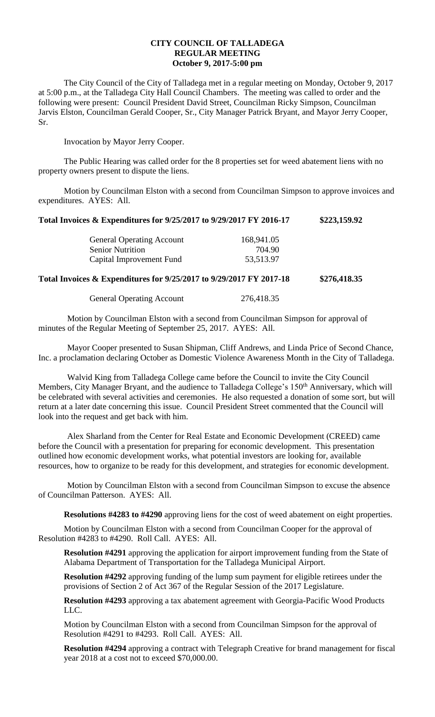## **CITY COUNCIL OF TALLADEGA REGULAR MEETING October 9, 2017-5:00 pm**

The City Council of the City of Talladega met in a regular meeting on Monday, October 9, 2017 at 5:00 p.m., at the Talladega City Hall Council Chambers. The meeting was called to order and the following were present: Council President David Street, Councilman Ricky Simpson, Councilman Jarvis Elston, Councilman Gerald Cooper, Sr., City Manager Patrick Bryant, and Mayor Jerry Cooper, Sr.

Invocation by Mayor Jerry Cooper.

The Public Hearing was called order for the 8 properties set for weed abatement liens with no property owners present to dispute the liens.

Motion by Councilman Elston with a second from Councilman Simpson to approve invoices and expenditures. AYES: All.

| <b>General Operating Account</b> | 168,941.05 |
|----------------------------------|------------|
| <b>Senior Nutrition</b>          | 704.90     |
| Capital Improvement Fund         | 53,513.97  |

**Total Invoices & Expenditures for 9/25/2017 to 9/29/2017 FY 2017-18 \$276,418.35**

**Total Invoices & Expenditures for 9/25/2017 to 9/29/2017 FY 2016-17 \$223,159.92**

General Operating Account 276,418.35

Motion by Councilman Elston with a second from Councilman Simpson for approval of minutes of the Regular Meeting of September 25, 2017. AYES: All.

Mayor Cooper presented to Susan Shipman, Cliff Andrews, and Linda Price of Second Chance, Inc. a proclamation declaring October as Domestic Violence Awareness Month in the City of Talladega.

Walvid King from Talladega College came before the Council to invite the City Council Members, City Manager Bryant, and the audience to Talladega College's 150<sup>th</sup> Anniversary, which will be celebrated with several activities and ceremonies. He also requested a donation of some sort, but will return at a later date concerning this issue. Council President Street commented that the Council will look into the request and get back with him.

Alex Sharland from the Center for Real Estate and Economic Development (CREED) came before the Council with a presentation for preparing for economic development. This presentation outlined how economic development works, what potential investors are looking for, available resources, how to organize to be ready for this development, and strategies for economic development.

Motion by Councilman Elston with a second from Councilman Simpson to excuse the absence of Councilman Patterson. AYES: All.

**Resolutions #4283 to #4290** approving liens for the cost of weed abatement on eight properties.

Motion by Councilman Elston with a second from Councilman Cooper for the approval of Resolution #4283 to #4290. Roll Call. AYES: All.

**Resolution #4291** approving the application for airport improvement funding from the State of Alabama Department of Transportation for the Talladega Municipal Airport.

**Resolution #4292** approving funding of the lump sum payment for eligible retirees under the provisions of Section 2 of Act 367 of the Regular Session of the 2017 Legislature.

**Resolution #4293** approving a tax abatement agreement with Georgia-Pacific Wood Products LLC.

Motion by Councilman Elston with a second from Councilman Simpson for the approval of Resolution #4291 to #4293. Roll Call. AYES: All.

**Resolution #4294** approving a contract with Telegraph Creative for brand management for fiscal year 2018 at a cost not to exceed \$70,000.00.